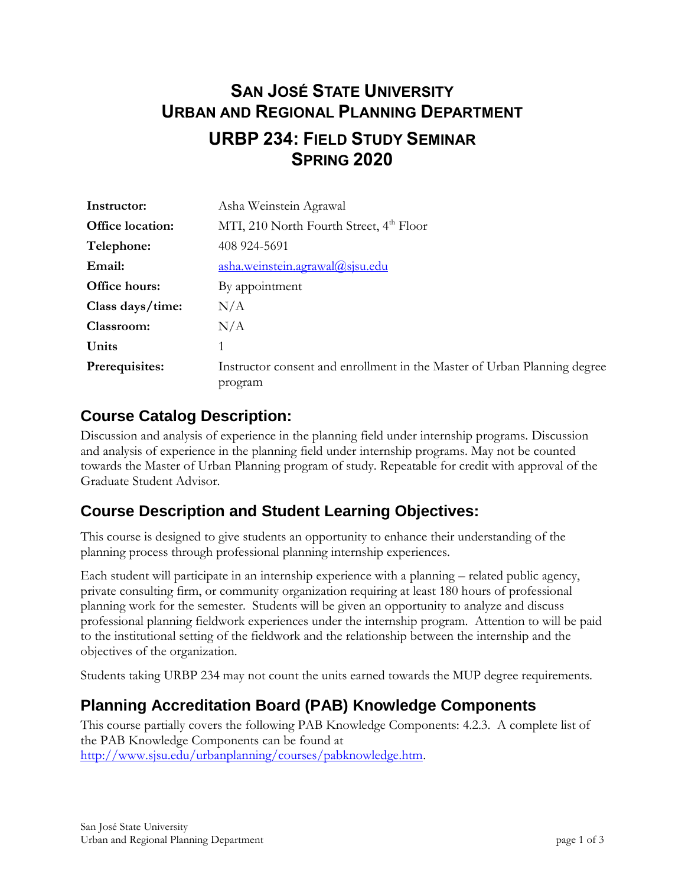# **SAN JOSÉ STATE UNIVERSITY URBAN AND REGIONAL PLANNING DEPARTMENT URBP 234: FIELD STUDY SEMINAR SPRING 2020**

| Instructor:             | Asha Weinstein Agrawal                                                              |
|-------------------------|-------------------------------------------------------------------------------------|
| <b>Office location:</b> | MTI, 210 North Fourth Street, 4 <sup>th</sup> Floor                                 |
| Telephone:              | 408 924-5691                                                                        |
| Email:                  | asha.weinstein.agrawal@sjsu.edu                                                     |
| <b>Office hours:</b>    | By appointment                                                                      |
| Class days/time:        | N/A                                                                                 |
| Classroom:              | N/A                                                                                 |
| Units                   |                                                                                     |
| Prerequisites:          | Instructor consent and enrollment in the Master of Urban Planning degree<br>program |

#### **Course Catalog Description:**

Discussion and analysis of experience in the planning field under internship programs. Discussion and analysis of experience in the planning field under internship programs. May not be counted towards the Master of Urban Planning program of study. Repeatable for credit with approval of the Graduate Student Advisor.

### **Course Description and Student Learning Objectives:**

This course is designed to give students an opportunity to enhance their understanding of the planning process through professional planning internship experiences.

Each student will participate in an internship experience with a planning – related public agency, private consulting firm, or community organization requiring at least 180 hours of professional planning work for the semester. Students will be given an opportunity to analyze and discuss professional planning fieldwork experiences under the internship program. Attention to will be paid to the institutional setting of the fieldwork and the relationship between the internship and the objectives of the organization.

Students taking URBP 234 may not count the units earned towards the MUP degree requirements.

## **Planning Accreditation Board (PAB) Knowledge Components**

This course partially covers the following PAB Knowledge Components: 4.2.3. A complete list of the PAB Knowledge Components can be found at [http://www.sjsu.edu/urbanplanning/courses/pabknowledge.htm.](http://www.sjsu.edu/urbanplanning/courses/pabknowledge.htm)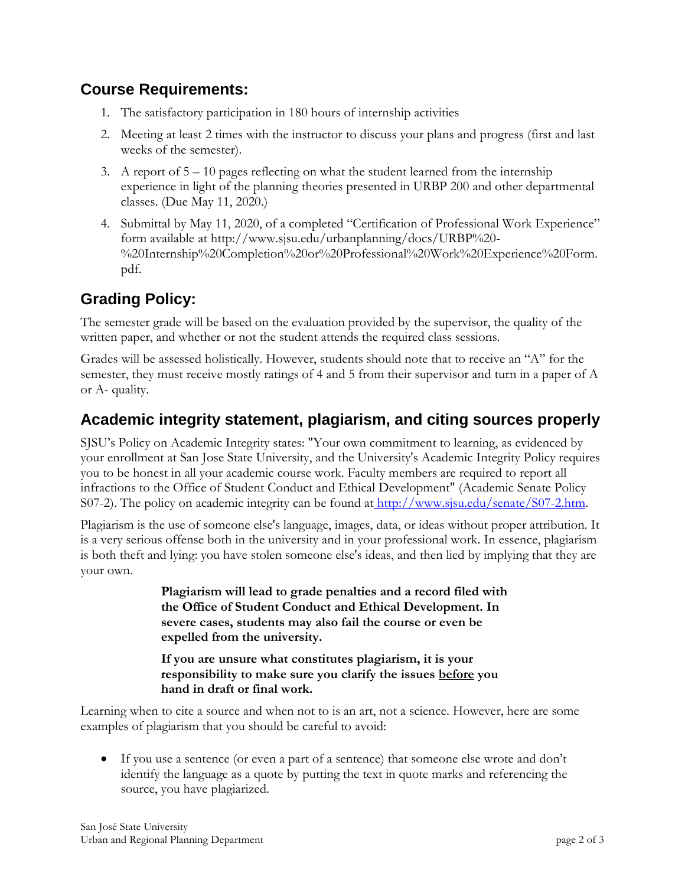#### **Course Requirements:**

- 1. The satisfactory participation in 180 hours of internship activities
- 2. Meeting at least 2 times with the instructor to discuss your plans and progress (first and last weeks of the semester).
- 3. A report of  $5 10$  pages reflecting on what the student learned from the internship experience in light of the planning theories presented in URBP 200 and other departmental classes. (Due May 11, 2020.)
- 4. Submittal by May 11, 2020, of a completed "Certification of Professional Work Experience" form available at http://www.sjsu.edu/urbanplanning/docs/URBP%20- %20Internship%20Completion%20or%20Professional%20Work%20Experience%20Form. pdf.

# **Grading Policy:**

The semester grade will be based on the evaluation provided by the supervisor, the quality of the written paper, and whether or not the student attends the required class sessions.

Grades will be assessed holistically. However, students should note that to receive an "A" for the semester, they must receive mostly ratings of 4 and 5 from their supervisor and turn in a paper of A or A- quality.

### **Academic integrity statement, plagiarism, and citing sources properly**

SJSU's Policy on Academic Integrity states: "Your own commitment to learning, as evidenced by your enrollment at San Jose State University, and the University's Academic Integrity Policy requires you to be honest in all your academic course work. Faculty members are required to report all infractions to the Office of Student Conduct and Ethical Development" (Academic Senate Policy S07-2). [The policy on academic integrity can be found at](http://www.sjsu.edu/senate/S07-2.htm) http://www.sjsu.edu/senate/S07-2.htm.

Plagiarism is the use of someone else's language, images, data, or ideas without proper attribution. It is a very serious offense both in the university and in your professional work. In essence, plagiarism is both theft and lying: you have stolen someone else's ideas, and then lied by implying that they are your own.

> **Plagiarism will lead to grade penalties and a record filed with the Office of Student Conduct and Ethical Development. In severe cases, students may also fail the course or even be expelled from the university.**

**If you are unsure what constitutes plagiarism, it is your responsibility to make sure you clarify the issues before you hand in draft or final work.**

Learning when to cite a source and when not to is an art, not a science. However, here are some examples of plagiarism that you should be careful to avoid:

 If you use a sentence (or even a part of a sentence) that someone else wrote and don't identify the language as a quote by putting the text in quote marks and referencing the source, you have plagiarized.